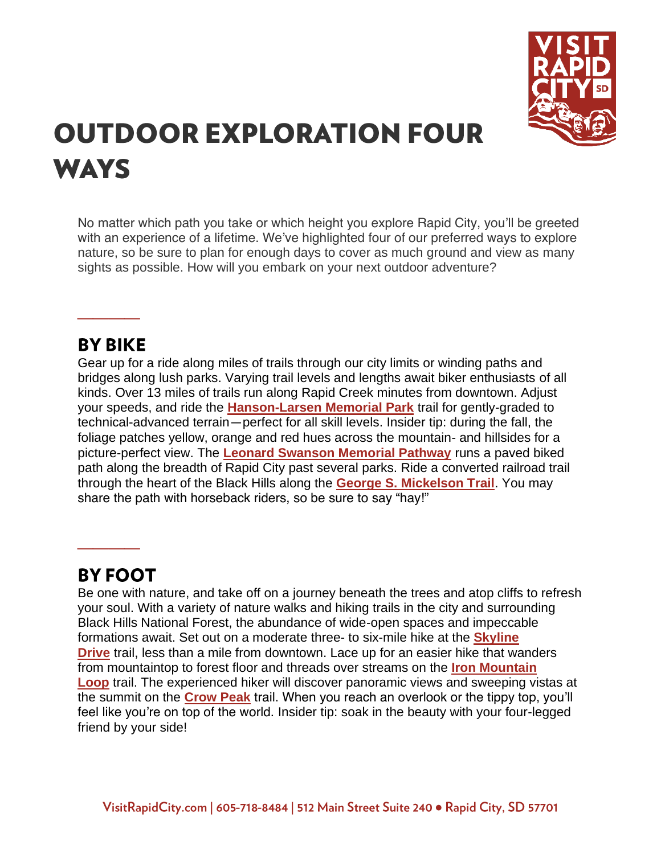

# **OUTDOOR EXPLORATION FOUR WAYS**

No matter which path you take or which height you explore Rapid City, you'll be greeted with an experience of a lifetime. We've highlighted four of our preferred ways to explore nature, so be sure to plan for enough days to cover as much ground and view as many sights as possible. How will you embark on your next outdoor adventure?

## **BY BIKE**

**\_\_\_\_**

Gear up for a ride along miles of trails through our city limits or winding paths and bridges along lush parks. Varying trail levels and lengths await biker enthusiasts of all kinds. Over 13 miles of trails run along Rapid Creek minutes from downtown. Adjust your speeds, and ride the **[Hanson-Larsen Memorial Park](https://www.visitrapidcity.com/things-to-do/outdoor-recreation/hiking)** trail for gently-graded to technical-advanced terrain—perfect for all skill levels. *Insider tip: during the fall, the foliage patches yellow, orange and red hues across the mountain- and hillsides for a picture-perfect view.* The **[Leonard Swanson Memorial Pathway](https://www.visitrapidcity.com/things-to-do/outdoor-recreation/bicycling)** runs a paved biked path along the breadth of Rapid City past several parks. Ride a converted railroad trail through the heart of the Black Hills along the **[George S. Mickelson Trail](https://www.visitrapidcity.com/things-to-do/outdoor-recreation/bicycling)**. You may share the path with horseback riders, so be sure to say "hay!"

# **BY FOOT**

**\_\_\_\_**

Be one with nature, and take off on a journey beneath the trees and atop cliffs to refresh your soul. With a variety of nature walks and hiking trails in the city and surrounding Black Hills National Forest, the abundance of wide-open spaces and impeccable formations await. Set out on a moderate three- to six-mile hike at the **[Skyline](https://www.visitrapidcity.com/things-to-do/attractions/skyline-wilderness-area)  [Drive](https://www.visitrapidcity.com/things-to-do/attractions/skyline-wilderness-area)** trail, less than a mile from downtown. Lace up for an easier hike that wanders from mountaintop to forest floor and threads over streams on the **[Iron Mountain](https://www.visitrapidcity.com/things-to-do/outdoor-recreation/hiking)  [Loop](https://www.visitrapidcity.com/things-to-do/outdoor-recreation/hiking)** trail. The experienced hiker will discover panoramic views and sweeping vistas at the summit on the **[Crow Peak](https://www.visitrapidcity.com/things-to-do/outdoor-recreation/hiking)** trail. When you reach an overlook or the tippy top, you'll feel like you're on top of the world. *Insider tip: soak in the beauty with your four-legged friend by your side!*